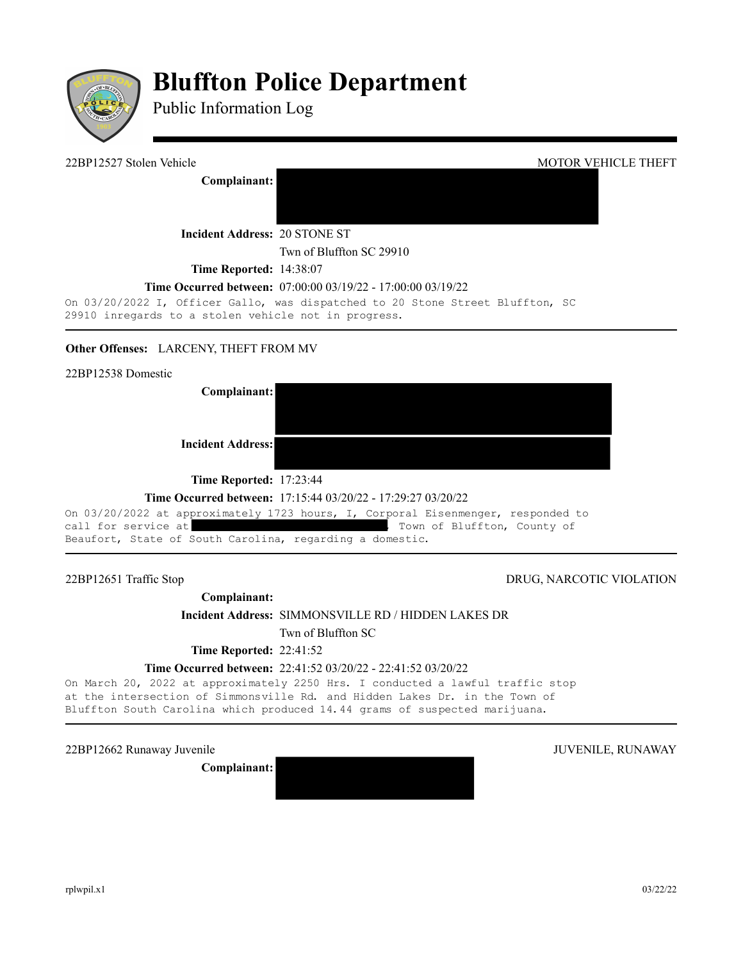

# **Bluffton Police Department**

Public Information Log

22BP12527 Stolen Vehicle MOTOR VEHICLE THEFT **Complainant: Incident Address:** 20 STONE ST Twn of Bluffton SC 29910 **Time Reported:** 14:38:07

#### **Time Occurred between:** 07:00:00 03/19/22 - 17:00:00 03/19/22

On 03/20/2022 I, Officer Gallo, was dispatched to 20 Stone Street Bluffton, SC 29910 inregards to a stolen vehicle not in progress.

### **Other Offenses: LARCENY, THEFT FROM MV**

**Complainant: Incident Address:**

**Time Reported:** 17:23:44

#### **Time Occurred between:** 17:15:44 03/20/22 - 17:29:27 03/20/22

On 03/20/2022 at approximately 1723 hours, I, Corporal Eisenmenger, responded to call for service at  $\qquad \qquad$ , Town of Bluffton, County of Beaufort, State of South Carolina, regarding a domestic.

## 22BP12651 Traffic Stop DRUG, NARCOTIC VIOLATION

**Complainant: Incident Address:** SIMMONSVILLE RD / HIDDEN LAKES DR

Twn of Bluffton SC

**Time Reported: 22:41:52** 

#### **Time Occurred between:** 22:41:52 03/20/22 - 22:41:52 03/20/22

On March 20, 2022 at approximately 2250 Hrs. I conducted a lawful traffic stop at the intersection of Simmonsville Rd. and Hidden Lakes Dr. in the Town of Bluffton South Carolina which produced 14.44 grams of suspected marijuana.

22BP12662 Runaway Juvenile 30 and 30 and 30 and 30 and 30 and 30 and 30 and 30 and 30 and 30 and 30 and 30 and 30 and 30 and 30 and 30 and 30 and 30 and 30 and 30 and 30 and 30 and 30 and 30 and 30 and 30 and 30 and 30 and

**Complainant:**